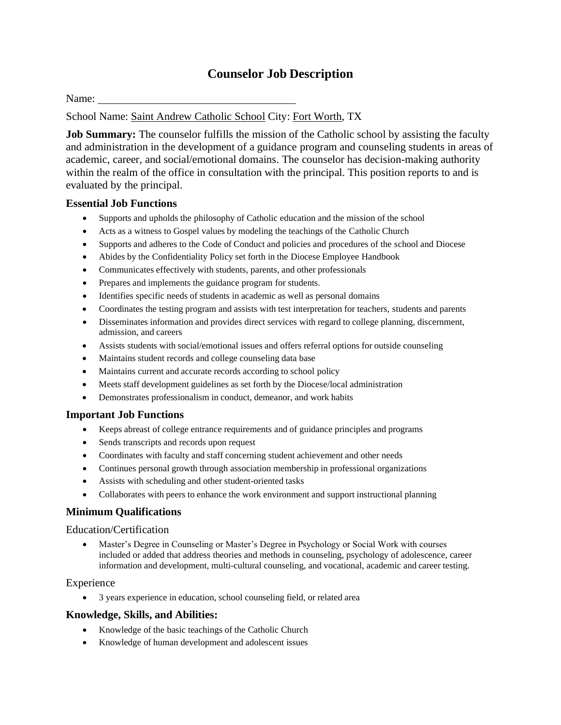## **Counselor Job Description**

Name:

School Name: Saint Andrew Catholic School City: Fort Worth, TX

**Job Summary:** The counselor fulfills the mission of the Catholic school by assisting the faculty and administration in the development of a guidance program and counseling students in areas of academic, career, and social/emotional domains. The counselor has decision-making authority within the realm of the office in consultation with the principal. This position reports to and is evaluated by the principal.

## **Essential Job Functions**

- Supports and upholds the philosophy of Catholic education and the mission of the school
- Acts as a witness to Gospel values by modeling the teachings of the Catholic Church
- Supports and adheres to the Code of Conduct and policies and procedures of the school and Diocese
- Abides by the Confidentiality Policy set forth in the Diocese Employee Handbook
- Communicates effectively with students, parents, and other professionals
- Prepares and implements the guidance program for students.
- Identifies specific needs of students in academic as well as personal domains
- Coordinates the testing program and assists with test interpretation for teachers, students and parents
- Disseminates information and provides direct services with regard to college planning, discernment, admission, and careers
- Assists students with social/emotional issues and offers referral options for outside counseling
- Maintains student records and college counseling data base
- Maintains current and accurate records according to school policy
- Meets staff development guidelines as set forth by the Diocese/local administration
- Demonstrates professionalism in conduct, demeanor, and work habits

## **Important Job Functions**

- Keeps abreast of college entrance requirements and of guidance principles and programs
- Sends transcripts and records upon request
- Coordinates with faculty and staff concerning student achievement and other needs
- Continues personal growth through association membership in professional organizations
- Assists with scheduling and other student-oriented tasks
- Collaborates with peers to enhance the work environment and support instructional planning

## **Minimum Qualifications**

#### Education/Certification

• Master's Degree in Counseling or Master's Degree in Psychology or Social Work with courses included or added that address theories and methods in counseling, psychology of adolescence, career information and development, multi-cultural counseling, and vocational, academic and career testing.

## Experience

• 3 years experience in education, school counseling field, or related area

## **Knowledge, Skills, and Abilities:**

- Knowledge of the basic teachings of the Catholic Church
- Knowledge of human development and adolescent issues